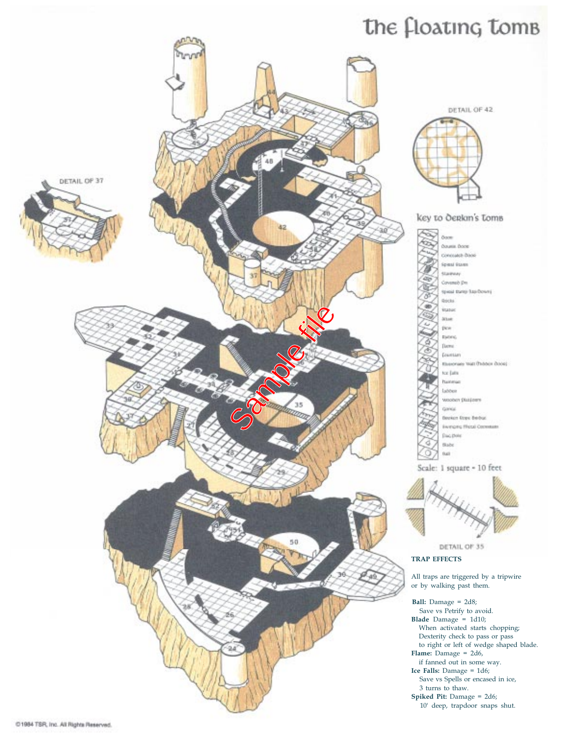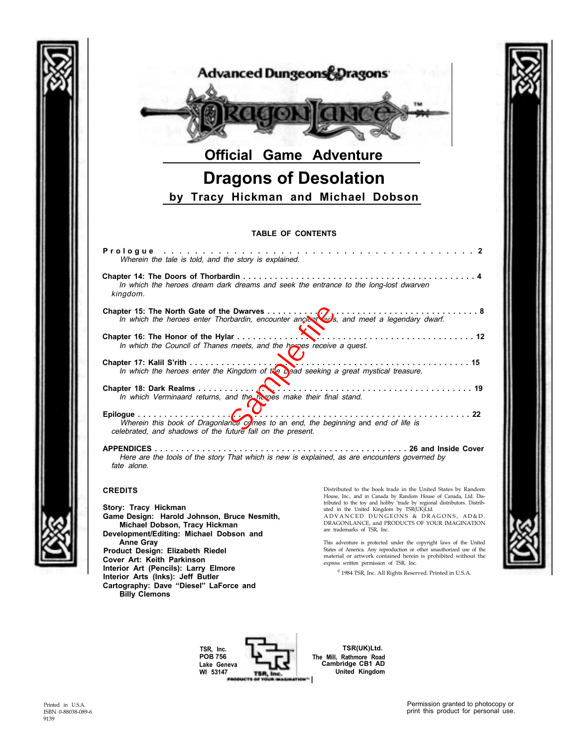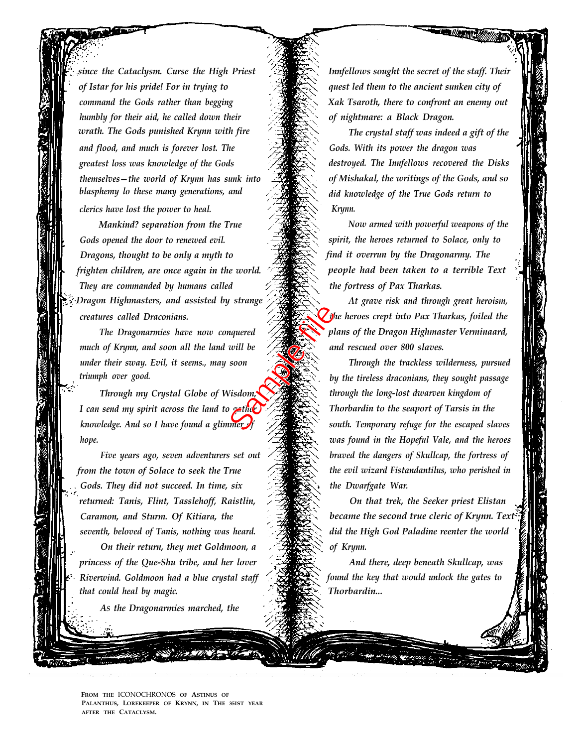<span id="page-2-0"></span>since the Cataclysm. Curse the High Priest of Istar for his pride! For in trying to command the Gods rather than begging humbly for their aid, he called down their wrath. The Gods punished Krynn with fire and flood, and much is forever lost. The greatest loss was knowledge of the Gods  $themselves - the world of Krynn has sunk into$ blasphemy lo these many generations, and

clerics have lost the power to heal.

Mankind? separation from the True Gods opened the door to renewed evil. Dragons, thought to be only a myth to frighten children, are once again in the world. They are commanded by humans called Dragon Highmasters, and assisted by strange creatures called Draconians.

much of Krynn, and soon all the land will be under their sway. Evil, it seems., may soon triumph over good. The Dragonarmies have now conquered mquered<br>
will be<br>
soon<br>
Visdom,<br>
Visdom,<br>
Pottudent of the Times

Through my Crystal Globe of Wisdom, I can send my spirit across the land to  $\mathbb{R}$ there knowledge. And so I have found a glimmer hope.

Five years ago, seven adventurers set out from the town of Solace to seek the True Gods. They did not succeed. In time, six returned: Tanis, Flint, Tasslehoff, Raistlin, Caramon, and Sturm. Of Kitiara, the seventh, beloved of Tanis, nothing was heard.  $\overrightarrow{AB}$  did the High God Paladine reenter the world On their return, they met Goldmoon, a  $\sqrt{2}$   $\rightarrow$   $\sqrt{2}$  of Krynn. princess of the Que-Shu tribe, and her lover  $\overrightarrow{AB}$  And there, deep beneath Skullcap, was Riverwind. Goldmoon had a blue crystal staff that could heal by magic.

AS the Dragonarmies marched, the

Innfellows sought the secret of the staff. Their quest led them to the ancient sunken city of Xak Tsaroth, there to confront an enemy out of nightmare: a Black Dragon.

The crystal staff was indeed a gift of the Gods. With its power the dragon was destroyed. The Innfellows recovered the Disks of Mishakal, the writings of the Gods, and so did knowledge of the True Gods return to Krynn.

Now armed with powerful weapons of the spirit, the heroes returned to Solace, only to find it overrun by the Dragonarmy. The people had been taken to a terrible Text the fortress of Pax Tharkas.

At grave risk and through great heroism,  $\int$ he heroes crept into Pax Tharkas, foiled the plans of the Dragon Highmaster Verminaard, and rescued over 800 slaves.

by the tireless draconians, they sought passage Through the trackless wilderness, pursued through the long-lost dwarven kingdom of Thorbardin to the seaport of Tarsis in the south. Temporary refuge for the escaped slaves was found in the Hopeful Vale, and the heroes braved the dangers of Skullcap, the fortress of the evil wizard Fistandantilus, who perished in the Dwarfgate War.

On that trek, the Seeker priest Elistan became the second true cleric of Krynn. Text

found the key that would unlock the gates to Thorbardin...

FROM THE ICONOCHRONOS OF ASTINUS OF PALANTHUS, LOREKEEPER OF KRYNN, IN THE 35IST YEAR AFTER THE CATACLYSM.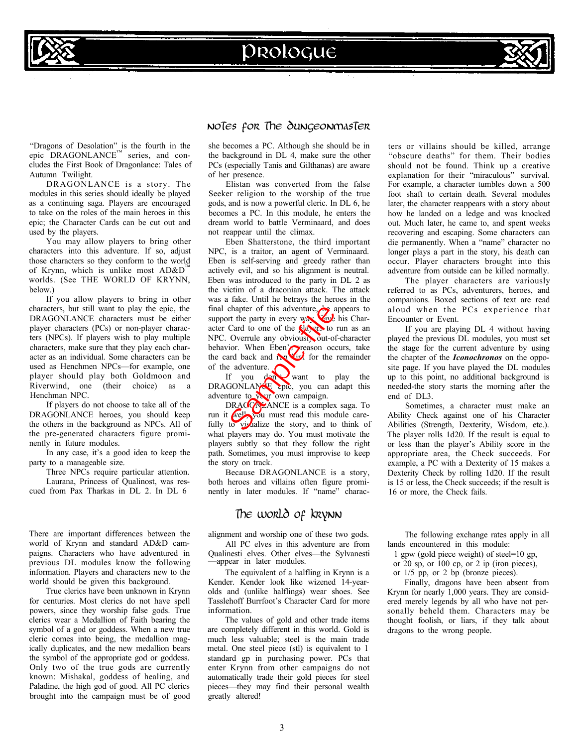## **Prologue**



### notes for the dungeonmaster

"Dragons of Desolation" is the fourth in the epic DRAGONLANCE™ series, and concludes the First Book of Dragonlance: Tales of Autumn Twilight.

DRAGONLANCE is a story. The modules in this series should ideally be played as a continuing saga. Players are encouraged to take on the roles of the main heroes in this epic; the Character Cards can be cut out and used by the players.

You may allow players to bring other characters into this adventure. If so, adjust those characters so they conform to the world of Krynn, which is unlike most  $AD&D^{\mathsf{T}}$ worlds. (See THE WORLD OF KRYNN, below.)

If you allow players to bring in other characters, but still want to play the epic, the DRAGONLANCE characters must be either player characters (PCs) or non-player characters (NPCs). If players wish to play multiple characters, make sure that they play each character as an individual. Some characters can be used as Henchmen NPCs—for example, one player should play both Goldmoon and Riverwind, one (their choice) as a Henchman NPC.

If players do not choose to take all of the DRAGONLANCE heroes, you should keep the others in the background as NPCs. All of the pre-generated characters figure prominently in future modules.

In any case, it's a good idea to keep the party to a manageable size.

Three NPCs require particular attention. Laurana, Princess of Qualinost, was rescued from Pax Tharkas in DL 2. In DL 6

There are important differences between the world of Krynn and standard AD&D campaigns. Characters who have adventured in previous DL modules know the following information. Players and characters new to the

world should be given this background. clerics wear a Medallion of Faith bearing the True clerics have been unknown in Krynn for centuries. Most clerics do not have spell powers, since they worship false gods. True symbol of a god or goddess. When a new true cleric comes into being, the medallion magically duplicates, and the new medallion bears the symbol of the appropriate god or goddess. Only two of the true gods are currently known: Mishakal, goddess of healing, and Paladine, the high god of good. All PC clerics brought into the campaign must be of good she becomes a PC. Although she should be in the background in DL 4, make sure the other PCs (especially Tanis and Gilthanas) are aware of her presence.

Elistan was converted from the false Seeker religion to the worship of the true gods, and is now a powerful cleric. In DL 6, he becomes a PC. In this module, he enters the dream world to battle Verminaard, and does not reappear until the climax.

Eben Shatterstone, the third important NPC, is a traitor, an agent of Verminaard. Eben is self-serving and greedy rather than actively evil, and so his alignment is neutral. Eben was introduced to the party in DL 2 as the victim of a draconian attack. The attack was a fake. Until he betrays the heroes in the final chapter of this adventure,  $\rightarrow$  appears to support the party in every  $w_1$ ,  $w_2$  his Character Card to one of the  $N$ <sub>a</sub> ers to run as an NPC. Overrule any obviously out-of-character behavior. When Eben's reason occurs, take the card back and  $\lim_{n \to \infty}$  for the remainder of the adventure. chapter of this adventure.<br>
Card to one of the NANC Correlation<br>
Card to one of the NANC to<br>
Overrule any obviously out-of<br>
overrule any obviously out-of<br>
overvalue for the<br>
e adventure.<br>
If you don't want to provide the s

If you  $d$  want to play the DRAGONLANCE epic, you can adapt this adventure to your own campaign.

DRAGONLANCE is a complex saga. To run it well, you must read this module carefully to visualize the story, and to think of what players may do. You must motivate the players subtly so that they follow the right path. Sometimes, you must improvise to keep the story on track.

Because DRAGONLANCE is a story, both heroes and villains often figure prominently in later modules. If "name" charac-

### the world of krynn

alignment and worship one of these two gods.

All PC elves in this adventure are from Qualinesti elves. Other elves—the Sylvanesti —appear in later modules.

The equivalent of a halfling in Krynn is a Kender. Kender look like wizened 14-yearolds and (unlike halflings) wear shoes. See Tasslehoff Burrfoot's Character Card for more information.

The values of gold and other trade items are completely different in this world. Gold is much less valuable; steel is the main trade metal. One steel piece (stl) is equivalent to 1 standard gp in purchasing power. PCs that enter Krynn from other campaigns do not automatically trade their gold pieces for steel pieces—they may find their personal wealth greatly altered!

For example, a character tumbles down a 500 foot shaft to certain death. Several modules later, the character reappears with a story about how he landed on a ledge and was knocked out. Much later, he came to, and spent weeks recovering and escaping. Some characters can die permanently. When a "name" character no longer plays a part in the story, his death can occur. Player characters brought into this adventure from outside can be killed normally. ters or villains should be killed, arrange "obscure deaths" for them. Their bodies should not be found. Think up a creative explanation for their "miraculous" survival.

The player characters are variously referred to as PCs, adventurers, heroes, and companions. Boxed sections of text are read aloud when the PCs experience that Encounter or Event.

If you are playing DL 4 without having played the previous DL modules, you must set the stage for the current adventure by using the chapter of the *Iconochronos* on the opposite page. If you have played the DL modules up to this point, no additional background is needed-the story starts the morning after the end of DL3.

Sometimes, a character must make an Ability Check against one of his Character Abilities (Strength, Dexterity, Wisdom, etc.). The player rolls 1d20. If the result is equal to or less than the player's Ability score in the appropriate area, the Check succeeds. For example, a PC with a Dexterity of 15 makes a Dexterity Check by rolling 1d20. If the result is 15 or less, the Check succeeds; if the result is 16 or more, the Check fails.

The following exchange rates apply in all lands encountered in this module:

1 gpw (gold piece weight) of steel=10 gp,

or 20 sp, or 100 cp, or 2 ip (iron pieces),

or 1/5 pp, or 2 bp (bronze pieces).

Finally, dragons have been absent from Krynn for nearly 1,000 years. They are considered merely legends by all who have not personally beheld them. Characters may be thought foolish, or liars, if they talk about dragons to the wrong people.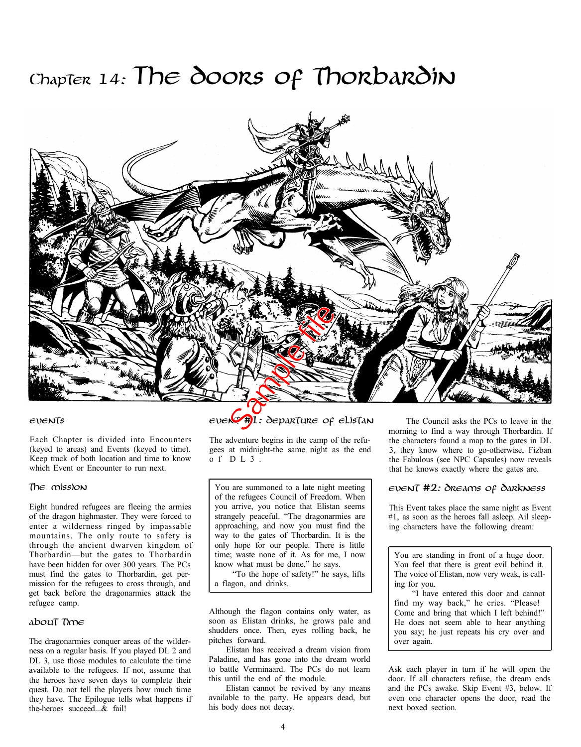# <span id="page-4-0"></span>Chapter 14: The doors of Thorbardin



#### events

Each Chapter is divided into Encounters (keyed to areas) and Events (keyed to time). Keep track of both location and time to know which Event or Encounter to run next.

#### the mission

Eight hundred refugees are fleeing the armies of the dragon highmaster. They were forced to enter a wilderness ringed by impassable mountains. The only route to safety is through the ancient dwarven kingdom of Thorbardin—but the gates to Thorbardin have been hidden for over 300 years. The PCs must find the gates to Thorbardin, get permission for the refugees to cross through, and get back before the dragonarmies attack the refugee camp.

#### about time

The dragonarmies conquer areas of the wilderness on a regular basis. If you played DL 2 and DL 3, use those modules to calculate the time available to the refugees. If not, assume that the heroes have seven days to complete their quest. Do not tell the players how much time they have. The Epilogue tells what happens if the-heroes succeed...& fail!

## event #1: departure of elistan

The adventure begins in the camp of the refugees at midnight-the same night as the end  $o f D L 3$ .

You are summoned to a late night meeting of the refugees Council of Freedom. When you arrive, you notice that Elistan seems strangely peaceful. "The dragonarmies are approaching, and now you must find the way to the gates of Thorbardin. It is the only hope for our people. There is little time; waste none of it. As for me, I now know what must be done," he says.

"To the hope of safety!" he says, lifts a flagon, and drinks.

Although the flagon contains only water, as soon as Elistan drinks, he grows pale and shudders once. Then, eyes rolling back, he pitches forward.

Elistan has received a dream vision from Paladine, and has gone into the dream world to battle Verminaard. The PCs do not learn this until the end of the module.

Elistan cannot be revived by any means available to the party. He appears dead, but his body does not decay.

The Council asks the PCs to leave in the morning to find a way through Thorbardin. If the characters found a map to the gates in DL 3, they know where to go-otherwise, Fizban the Fabulous (see NPC Capsules) now reveals that he knows exactly where the gates are.

#### event #2: dreams of darkness

This Event takes place the same night as Event #1, as soon as the heroes fall asleep. Ail sleeping characters have the following dream:

You are standing in front of a huge door. You feel that there is great evil behind it. The voice of Elistan, now very weak, is calling for you.

"I have entered this door and cannot find my way back," he cries. "Please! Come and bring that which I left behind!" He does not seem able to hear anything you say; he just repeats his cry over and over again.

Ask each player in turn if he will open the door. If all characters refuse, the dream ends and the PCs awake. Skip Event #3, below. If even one character opens the door, read the next boxed section.